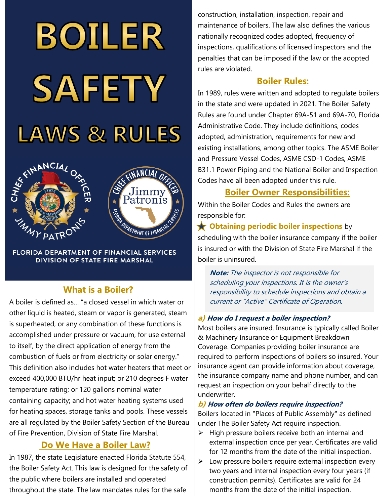# BOILER SAFETY **LAWS & RULES**





**FLORIDA DEPARTMENT OF FINANCIAL SERVICES DIVISION OF STATE FIRE MARSHAL** 

## **What is a Boiler?**

A boiler is defined as… "a closed vessel in which water or other liquid is heated, steam or vapor is generated, steam is superheated, or any combination of these functions is accomplished under pressure or vacuum, for use external to itself, by the direct application of energy from the combustion of fuels or from electricity or solar energy." This definition also includes hot water heaters that meet or exceed 400,000 BTU/hr heat input; or 210 degrees F water temperature rating; or 120 gallons nominal water containing capacity; and hot water heating systems used for heating spaces, storage tanks and pools. These vessels are all regulated by the Boiler Safety Section of the Bureau of Fire Prevention, Division of State Fire Marshal.

## **Do We Have a Boiler Law?**

In 1987, the state Legislature enacted Florida Statute 554, the Boiler Safety Act. This law is designed for the safety of the public where boilers are installed and operated throughout the state. The law mandates rules for the safe

construction, installation, inspection, repair and maintenance of boilers. The law also defines the various nationally recognized codes adopted, frequency of inspections, qualifications of licensed inspectors and the penalties that can be imposed if the law or the adopted rules are violated.

## **Boiler Rules:**

In 1989, rules were written and adopted to regulate boilers in the state and were updated in 2021. The Boiler Safety Rules are found under Chapter 69A-51 and 69A-70, Florida Administrative Code. They include definitions, codes adopted, administration, requirements for new and existing installations, among other topics. The ASME Boiler and Pressure Vessel Codes, ASME CSD-1 Codes, ASME B31.1 Power Piping and the National Boiler and Inspection Codes have all been adopted under this rule.

# **Boiler Owner Responsibilities:**

Within the Boiler Codes and Rules the owners are responsible for:

**Channing periodic boiler inspections** by scheduling with the boiler insurance company if the boiler is insured or with the Division of State Fire Marshal if the boiler is uninsured.

**Note:** The inspector is not responsible for scheduling your inspections. It is the owner's responsibility to schedule inspections and obtain a current or "Active" Certificate of Operation.

## **a) How do I request a boiler inspection?**

Most boilers are insured. Insurance is typically called Boiler & Machinery Insurance or Equipment Breakdown Coverage. Companies providing boiler insurance are required to perform inspections of boilers so insured. Your insurance agent can provide information about coverage, the insurance company name and phone number, and can request an inspection on your behalf directly to the underwriter.

## **b) How often do boilers require inspection?**

Boilers located in "Places of Public Assembly" as defined under The Boiler Safety Act require inspection.

- $\triangleright$  High pressure boilers receive both an internal and external inspection once per year. Certificates are valid for 12 months from the date of the initial inspection.
- $\triangleright$  Low pressure boilers require external inspection every two years and internal inspection every four years (if construction permits). Certificates are valid for 24 months from the date of the initial inspection.